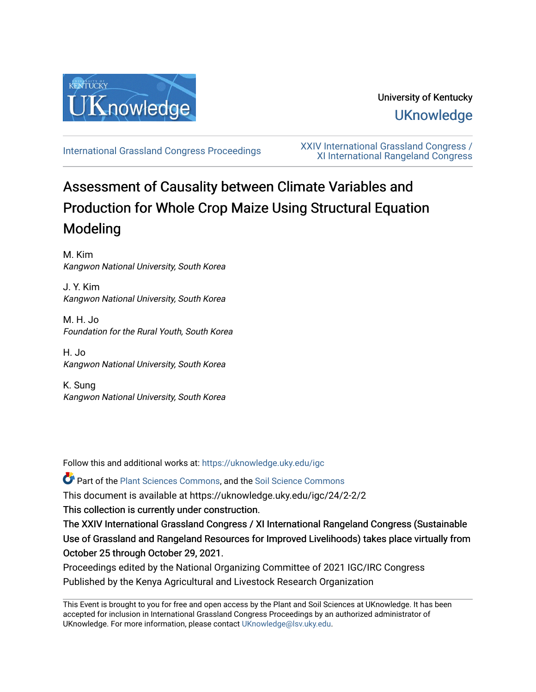

# University of Kentucky **UKnowledge**

[International Grassland Congress Proceedings](https://uknowledge.uky.edu/igc) [XXIV International Grassland Congress /](https://uknowledge.uky.edu/igc/24)  [XI International Rangeland Congress](https://uknowledge.uky.edu/igc/24) 

# Assessment of Causality between Climate Variables and Production for Whole Crop Maize Using Structural Equation Modeling

M. Kim Kangwon National University, South Korea

J. Y. Kim Kangwon National University, South Korea

M. H. Jo Foundation for the Rural Youth, South Korea

H. Jo Kangwon National University, South Korea

K. Sung Kangwon National University, South Korea

Follow this and additional works at: [https://uknowledge.uky.edu/igc](https://uknowledge.uky.edu/igc?utm_source=uknowledge.uky.edu%2Figc%2F24%2F2-2%2F2&utm_medium=PDF&utm_campaign=PDFCoverPages) 

Part of the [Plant Sciences Commons](http://network.bepress.com/hgg/discipline/102?utm_source=uknowledge.uky.edu%2Figc%2F24%2F2-2%2F2&utm_medium=PDF&utm_campaign=PDFCoverPages), and the [Soil Science Commons](http://network.bepress.com/hgg/discipline/163?utm_source=uknowledge.uky.edu%2Figc%2F24%2F2-2%2F2&utm_medium=PDF&utm_campaign=PDFCoverPages) 

This document is available at https://uknowledge.uky.edu/igc/24/2-2/2

This collection is currently under construction.

The XXIV International Grassland Congress / XI International Rangeland Congress (Sustainable Use of Grassland and Rangeland Resources for Improved Livelihoods) takes place virtually from October 25 through October 29, 2021.

Proceedings edited by the National Organizing Committee of 2021 IGC/IRC Congress Published by the Kenya Agricultural and Livestock Research Organization

This Event is brought to you for free and open access by the Plant and Soil Sciences at UKnowledge. It has been accepted for inclusion in International Grassland Congress Proceedings by an authorized administrator of UKnowledge. For more information, please contact [UKnowledge@lsv.uky.edu](mailto:UKnowledge@lsv.uky.edu).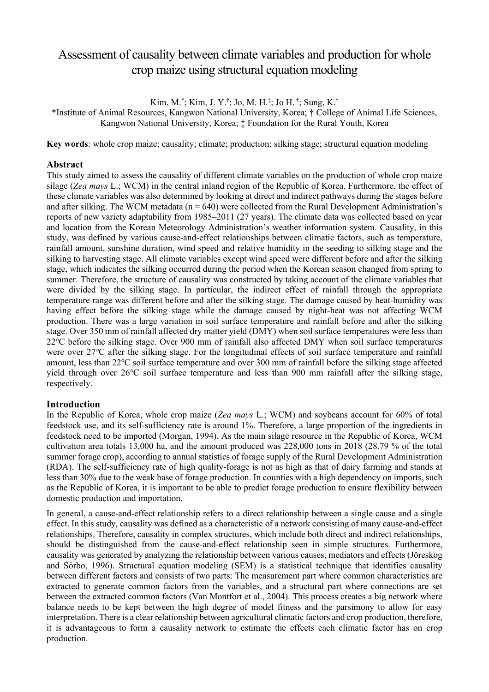# Assessment of causality between climate variables and production for whole crop maize using structural equation modeling

Kim, M.\* ; Kim, J. Y.† ; Jo, M. H.‡ ; Jo H. † ; Sung, K.†

\*Institute of Animal Resources, Kangwon National University, Korea; † College of Animal Life Sciences, Kangwon National University, Korea; ‡ Foundation for the Rural Youth, Korea

**Key words**: whole crop maize; causality; climate; production; silking stage; structural equation modeling

# **Abstract**

This study aimed to assess the causality of different climate variables on the production of whole crop maize silage (*Zea mays* L.; WCM) in the central inland region of the Republic of Korea. Furthermore, the effect of these climate variables was also determined by looking at direct and indirect pathways during the stages before and after silking. The WCM metadata ( $n = 640$ ) were collected from the Rural Development Administration's reports of new variety adaptability from 1985–2011 (27 years). The climate data was collected based on year and location from the Korean Meteorology Administration's weather information system. Causality, in this study, was defined by various cause-and-effect relationships between climatic factors, such as temperature, rainfall amount, sunshine duration, wind speed and relative humidity in the seeding to silking stage and the silking to harvesting stage. All climate variables except wind speed were different before and after the silking stage, which indicates the silking occurred during the period when the Korean season changed from spring to summer. Therefore, the structure of causality was constructed by taking account of the climate variables that were divided by the silking stage. In particular, the indirect effect of rainfall through the appropriate temperature range was different before and after the silking stage. The damage caused by heat-humidity was having effect before the silking stage while the damage caused by night-heat was not affecting WCM production. There was a large variation in soil surface temperature and rainfall before and after the silking stage. Over 350 mm of rainfall affected dry matter yield (DMY) when soil surface temperatures were less than 22℃ before the silking stage. Over 900 mm of rainfall also affected DMY when soil surface temperatures were over 27℃ after the silking stage. For the longitudinal effects of soil surface temperature and rainfall amount, less than 22℃ soil surface temperature and over 300 mm of rainfall before the silking stage affected yield through over 26℃ soil surface temperature and less than 900 mm rainfall after the silking stage, respectively.

## **Introduction**

In the Republic of Korea, whole crop maize (*Zea mays* L.; WCM) and soybeans account for 60% of total feedstock use, and its self-sufficiency rate is around 1%. Therefore, a large proportion of the ingredients in feedstock need to be imported (Morgan, 1994). As the main silage resource in the Republic of Korea, WCM cultivation area totals 13,000 ha, and the amount produced was 228,000 tons in 2018 (28.79 % of the total summer forage crop), according to annual statistics of forage supply of the Rural Development Administration (RDA). The self-sufficiency rate of high quality-forage is not as high as that of dairy farming and stands at less than 30% due to the weak base of forage production. In counties with a high dependency on imports, such as the Republic of Korea, it is important to be able to predict forage production to ensure flexibility between domestic production and importation.

In general, a cause-and-effect relationship refers to a direct relationship between a single cause and a single effect. In this study, causality was defined as a characteristic of a network consisting of many cause-and-effect relationships. Therefore, causality in complex structures, which include both direct and indirect relationships, should be distinguished from the cause-and-effect relationship seen in simple structures. Furthermore, causality was generated by analyzing the relationship between various causes, mediators and effects (Jöreskog and Sörbo, 1996). Structural equation modeling (SEM) is a statistical technique that identifies causality between different factors and consists of two parts: The measurement part where common characteristics are extracted to generate common factors from the variables, and a structural part where connections are set between the extracted common factors (Van Montfort et al., 2004). This process creates a big network where balance needs to be kept between the high degree of model fitness and the parsimony to allow for easy interpretation. There is a clear relationship between agricultural climatic factors and crop production, therefore, it is advantageous to form a causality network to estimate the effects each climatic factor has on crop production.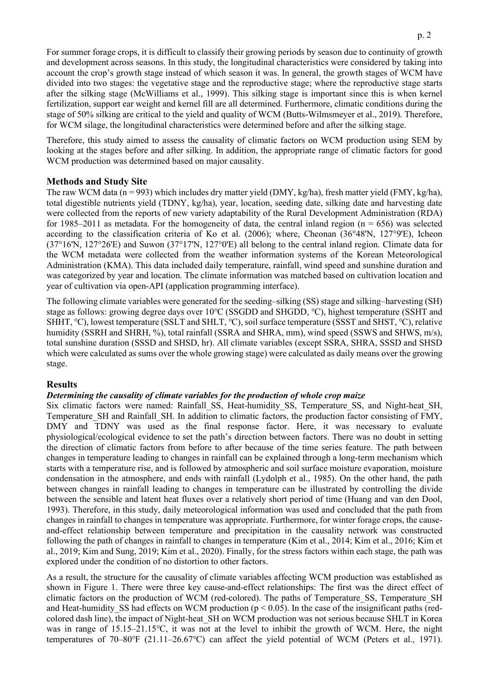For summer forage crops, it is difficult to classify their growing periods by season due to continuity of growth and development across seasons. In this study, the longitudinal characteristics were considered by taking into account the crop's growth stage instead of which season it was. In general, the growth stages of WCM have divided into two stages: the vegetative stage and the reproductive stage; where the reproductive stage starts after the silking stage (McWilliams et al., 1999). This silking stage is important since this is when kernel fertilization, support ear weight and kernel fill are all determined. Furthermore, climatic conditions during the stage of 50% silking are critical to the yield and quality of WCM (Butts-Wilmsmeyer et al., 2019). Therefore, for WCM silage, the longitudinal characteristics were determined before and after the silking stage.

Therefore, this study aimed to assess the causality of climatic factors on WCM production using SEM by looking at the stages before and after silking. In addition, the appropriate range of climatic factors for good WCM production was determined based on major causality.

# **Methods and Study Site**

The raw WCM data (n = 993) which includes dry matter yield (DMY, kg/ha), fresh matter yield (FMY, kg/ha), total digestible nutrients yield (TDNY, kg/ha), year, location, seeding date, silking date and harvesting date were collected from the reports of new variety adaptability of the Rural Development Administration (RDA) for 1985–2011 as metadata. For the homogeneity of data, the central inland region ( $n = 656$ ) was selected according to the classification criteria of Ko et al. (2006); where, Cheonan (36°48'N, 127°9'E), Icheon (37°16'N, 127°26'E) and Suwon (37°17'N, 127°0'E) all belong to the central inland region. Climate data for the WCM metadata were collected from the weather information systems of the Korean Meteorological Administration (KMA). This data included daily temperature, rainfall, wind speed and sunshine duration and was categorized by year and location. The climate information was matched based on cultivation location and year of cultivation via open-API (application programming interface).

The following climate variables were generated for the seeding-silking (SS) stage and silking–harvesting (SH) stage as follows: growing degree days over 10℃ (SSGDD and SHGDD, ℃), highest temperature (SSHT and SHHT, ℃), lowest temperature (SSLT and SHLT, ℃), soil surface temperature (SSST and SHST, ℃), relative humidity (SSRH and SHRH, %), total rainfall (SSRA and SHRA, mm), wind speed (SSWS and SHWS, m/s), total sunshine duration (SSSD and SHSD, hr). All climate variables (except SSRA, SHRA, SSSD and SHSD which were calculated as sums over the whole growing stage) were calculated as daily means over the growing stage.

## **Results**

## *Determining the causality of climate variables for the production of whole crop maize*

Six climatic factors were named: Rainfall\_SS, Heat-humidity\_SS, Temperature\_SS, and Night-heat\_SH, Temperature SH and Rainfall SH. In addition to climatic factors, the production factor consisting of FMY, DMY and TDNY was used as the final response factor. Here, it was necessary to evaluate physiological/ecological evidence to set the path's direction between factors. There was no doubt in setting the direction of climatic factors from before to after because of the time series feature. The path between changes in temperature leading to changes in rainfall can be explained through a long-term mechanism which starts with a temperature rise, and is followed by atmospheric and soil surface moisture evaporation, moisture condensation in the atmosphere, and ends with rainfall (Lydolph et al., 1985). On the other hand, the path between changes in rainfall leading to changes in temperature can be illustrated by controlling the divide between the sensible and latent heat fluxes over a relatively short period of time (Huang and van den Dool, 1993). Therefore, in this study, daily meteorological information was used and concluded that the path from changes in rainfall to changes in temperature was appropriate. Furthermore, for winter forage crops, the causeand-effect relationship between temperature and precipitation in the causality network was constructed following the path of changes in rainfall to changes in temperature (Kim et al., 2014; Kim et al., 2016; Kim et al., 2019; Kim and Sung, 2019; Kim et al., 2020). Finally, for the stress factors within each stage, the path was explored under the condition of no distortion to other factors.

As a result, the structure for the causality of climate variables affecting WCM production was established as shown in Figure 1. There were three key cause-and-effect relationships: The first was the direct effect of climatic factors on the production of WCM (red-colored). The paths of Temperature SS, Temperature SH and Heat-humidity SS had effects on WCM production ( $p < 0.05$ ). In the case of the insignificant paths (redcolored dash line), the impact of Night-heat\_SH on WCM production was not serious because SHLT in Korea was in range of  $15.15-21.15\text{°C}$ , it was not at the level to inhibit the growth of WCM. Here, the night temperatures of 70‒80℉ (21.11‒26.67℃) can affect the yield potential of WCM (Peters et al., 1971).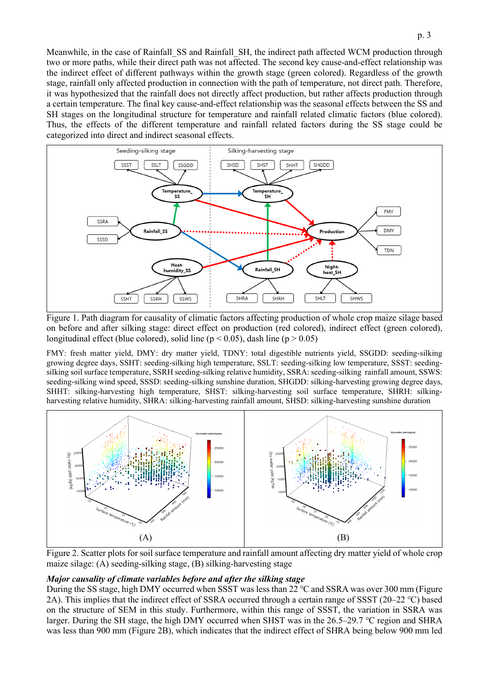Meanwhile, in the case of Rainfall\_SS and Rainfall\_SH, the indirect path affected WCM production through two or more paths, while their direct path was not affected. The second key cause-and-effect relationship was the indirect effect of different pathways within the growth stage (green colored). Regardless of the growth stage, rainfall only affected production in connection with the path of temperature, not direct path. Therefore, it was hypothesized that the rainfall does not directly affect production, but rather affects production through a certain temperature. The final key cause-and-effect relationship was the seasonal effects between the SS and SH stages on the longitudinal structure for temperature and rainfall related climatic factors (blue colored). Thus, the effects of the different temperature and rainfall related factors during the SS stage could be categorized into direct and indirect seasonal effects.



Figure 1. Path diagram for causality of climatic factors affecting production of whole crop maize silage based on before and after silking stage: direct effect on production (red colored), indirect effect (green colored), longitudinal effect (blue colored), solid line ( $p < 0.05$ ), dash line ( $p > 0.05$ )

FMY: fresh matter yield, DMY: dry matter yield, TDNY: total digestible nutrients yield, SSGDD: seeding-silking growing degree days, SSHT: seeding-silking high temperature, SSLT: seeding-silking low temperature, SSST: seedingsilking soil surface temperature, SSRH seeding-silking relative humidity, SSRA: seeding-silking rainfall amount, SSWS: seeding-silking wind speed, SSSD: seeding-silking sunshine duration, SHGDD: silking-harvesting growing degree days, SHHT: silking-harvesting high temperature, SHST: silking-harvesting soil surface temperature, SHRH: silkingharvesting relative humidity, SHRA: silking-harvesting rainfall amount, SHSD: silking-harvesting sunshine duration



Figure 2. Scatter plots for soil surface temperature and rainfall amount affecting dry matter yield of whole crop maize silage: (A) seeding-silking stage, (B) silking-harvesting stage

#### *Major causality of climate variables before and after the silking stage*

During the SS stage, high DMY occurred when SSST was less than 22 ℃ and SSRA was over 300 mm (Figure 2A). This implies that the indirect effect of SSRA occurred through a certain range of SSST (20‒22 ℃) based on the structure of SEM in this study. Furthermore, within this range of SSST, the variation in SSRA was larger. During the SH stage, the high DMY occurred when SHST was in the 26.5–29.7 ℃ region and SHRA was less than 900 mm (Figure 2B), which indicates that the indirect effect of SHRA being below 900 mm led